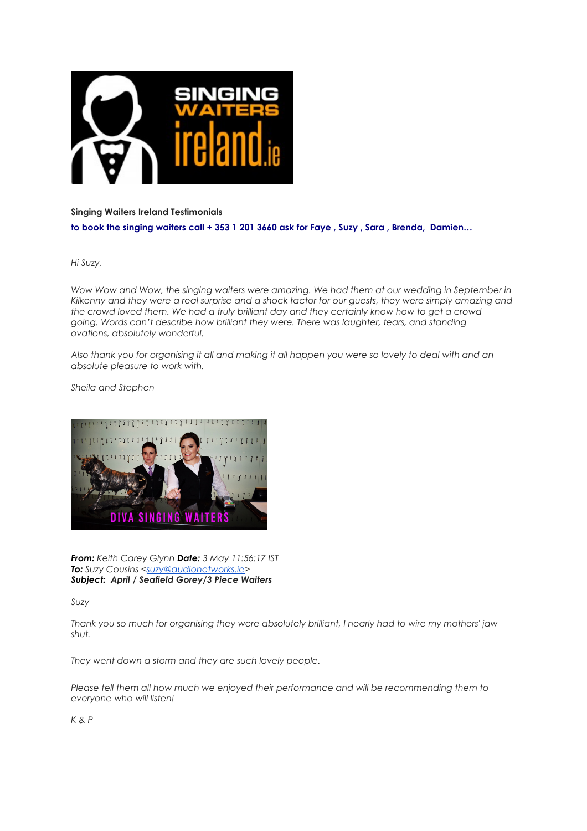

## **Singing Waiters Ireland Testimonials**

**to book the singing waiters call + 353 1 201 3660 ask for Faye , Suzy , Sara , Brenda, Damien…**

*Hi Suzy,* 

Wow Wow and Wow, the singing waiters were amazing. We had them at our wedding in September in *Kilkenny and they were a real surprise and a shock factor for our guests, they were simply amazing and the crowd loved them. We had a truly brilliant day and they certainly know how to get a crowd going. Words can't describe how brilliant they were. There was laughter, tears, and standing ovations, absolutely wonderful.*

*Also thank you for organising it all and making it all happen you were so lovely to deal with and an absolute pleasure to work with.*

*Sheila and Stephen* 



*From: Keith Carey Glynn Date: 3 May 11:56:17 IST To: Suzy Cousins <[suzy@audionetworks.ie](mailto:suzy@audionetworks.ie)> Subject: April / Seafield Gorey/3 Piece Waiters*

*Suzy* 

*Thank you so much for organising they were absolutely brilliant, I nearly had to wire my mothers' jaw shut.* 

*They went down a storm and they are such lovely people.*

Please tell them all how much we enjoyed their performance and will be recommending them to *everyone who will listen!* 

*K & P*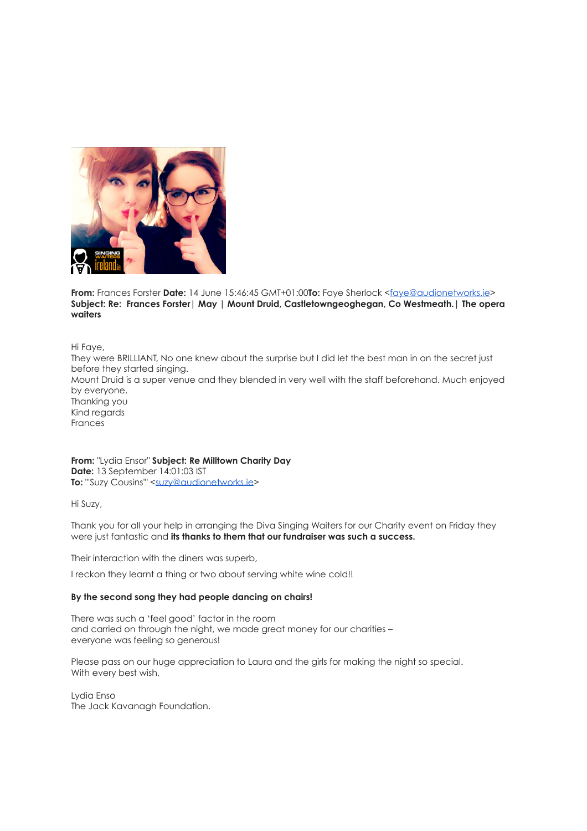

**From:** Frances Forster **Date:** 14 June 15:46:45 GMT+01:00**To:** Faye Sherlock [<faye@audionetworks.ie>](mailto:faye@audionetworks.ie) **Subject: Re: Frances Forster| May | Mount Druid, Castletowngeoghegan, Co Westmeath.| The opera waiters**

Hi Faye,

They were BRILLIANT, No one knew about the surprise but I did let the best man in on the secret just before they started singing. Mount Druid is a super venue and they blended in very well with the staff beforehand. Much enjoyed by everyone. Thanking you Kind regards Frances

**From:** "Lydia Ensor" **Subject: Re Milltown Charity Day Date:** 13 September 14:01:03 IST **To:** "'Suzy Cousins'" <[suzy@audionetworks.ie](mailto:suzy@audionetworks.ie)>

Hi Suzy,

Thank you for all your help in arranging the Diva Singing Waiters for our Charity event on Friday they were just fantastic and **its thanks to them that our fundraiser was such a success.**

Their interaction with the diners was superb,

I reckon they learnt a thing or two about serving white wine cold!!

## **By the second song they had people dancing on chairs!**

There was such a 'feel good' factor in the room and carried on through the night, we made great money for our charities – everyone was feeling so generous!

Please pass on our huge appreciation to Laura and the girls for making the night so special. With every best wish,

Lydia Enso The Jack Kavanagh Foundation.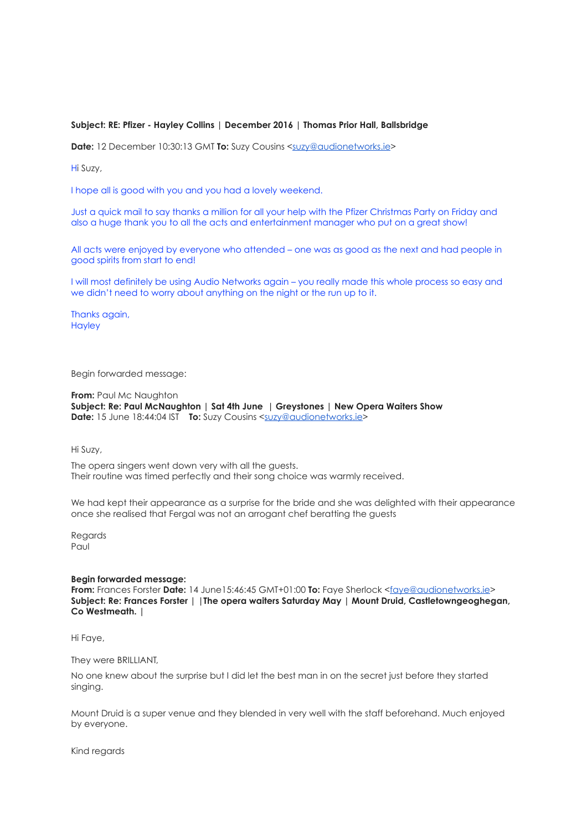## **Subject: RE: Pfizer - Hayley Collins | December 2016 | Thomas Prior Hall, Ballsbridge**

**Date:** 12 December 10:30:13 GMT **To:** Suzy Cousins [<suzy@audionetworks.ie](mailto:suzy@audionetworks.ie)>

Hi Suzy,

I hope all is good with you and you had a lovely weekend.

Just a quick mail to say thanks a million for all your help with the Pfizer Christmas Party on Friday and also a huge thank you to all the acts and entertainment manager who put on a great show!

All acts were enjoyed by everyone who attended – one was as good as the next and had people in good spirits from start to end!

I will most definitely be using Audio Networks again – you really made this whole process so easy and we didn't need to worry about anything on the night or the run up to it.

Thanks again, **Hayley** 

Begin forwarded message:

**From:** Paul Mc Naughton **Subject: Re: Paul McNaughton | Sat 4th June | Greystones | New Opera Waiters Show Date:** 15 June 18:44:04 IST **To:** Suzy Cousins [<suzy@audionetworks.ie>](mailto:suzy@audionetworks.ie)

Hi Suzy,

The opera singers went down very with all the guests. Their routine was timed perfectly and their song choice was warmly received.

We had kept their appearance as a surprise for the bride and she was delighted with their appearance once she realised that Fergal was not an arrogant chef beratting the guests

Regards Paul

## **Begin forwarded message:**

**From:** Frances Forster **Date:** 14 June15:46:45 GMT+01:00 **To:** Faye Sherlock [<faye@audionetworks.ie>](mailto:faye@audionetworks.ie) **Subject: Re: Frances Forster | |The opera waiters Saturday May | Mount Druid, Castletowngeoghegan, Co Westmeath. |**

Hi Faye,

They were BRILLIANT.

No one knew about the surprise but I did let the best man in on the secret just before they started singing.

Mount Druid is a super venue and they blended in very well with the staff beforehand. Much enjoyed by everyone.

Kind regards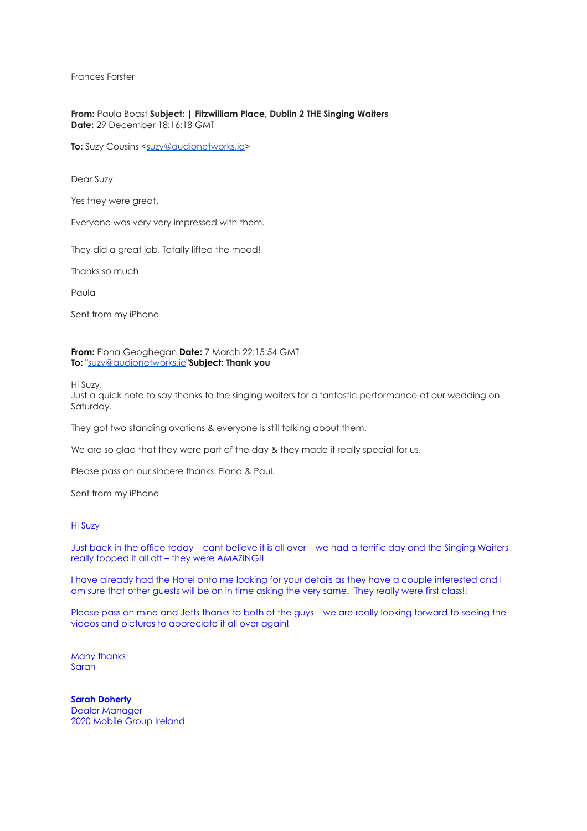Frances Forster

**From:** Paula Boast **Subject: | Fitzwilliam Place, Dublin 2 THE Singing Waiters Date:** 29 December 18:16:18 GMT

**To:** Suzy Cousins <[suzy@audionetworks.ie](mailto:suzy@audionetworks.ie)>

Dear Suzy

Yes they were great.

Everyone was very very impressed with them.

They did a great job. Totally lifted the mood!

Thanks so much

Paula

Sent from my iPhone

**From:** Fiona Geoghegan **Date:** 7 March 22:15:54 GMT **To:** ["suzy@audionetworks.ie"](mailto:suzy@audionetworks.ie)**Subject: Thank you**

Hi Suzy,

Just a quick note to say thanks to the singing waiters for a fantastic performance at our wedding on Saturday.

They got two standing ovations & everyone is still talking about them.

We are so glad that they were part of the day & they made it really special for us.

Please pass on our sincere thanks. Fiona & Paul.

Sent from my iPhone

Hi Suzy

Just back in the office today – cant believe it is all over – we had a terrific day and the Singing Waiters really topped it all off – they were AMAZING!!

I have already had the Hotel onto me looking for your details as they have a couple interested and I am sure that other guests will be on in time asking the very same. They really were first class!!

Please pass on mine and Jeffs thanks to both of the guys – we are really looking forward to seeing the videos and pictures to appreciate it all over again!

Many thanks Sarah

**Sarah Doherty** Dealer Manager 2020 Mobile Group Ireland